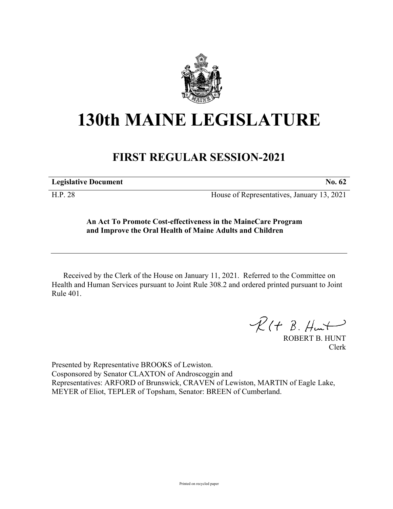

## **130th MAINE LEGISLATURE**

## **FIRST REGULAR SESSION-2021**

**Legislative Document No. 62**

H.P. 28 House of Representatives, January 13, 2021

## **An Act To Promote Cost-effectiveness in the MaineCare Program and Improve the Oral Health of Maine Adults and Children**

Received by the Clerk of the House on January 11, 2021. Referred to the Committee on Health and Human Services pursuant to Joint Rule 308.2 and ordered printed pursuant to Joint Rule 401.

 $R(H B. H<sub>un</sub>+)$ 

ROBERT B. HUNT Clerk

Presented by Representative BROOKS of Lewiston. Cosponsored by Senator CLAXTON of Androscoggin and Representatives: ARFORD of Brunswick, CRAVEN of Lewiston, MARTIN of Eagle Lake, MEYER of Eliot, TEPLER of Topsham, Senator: BREEN of Cumberland.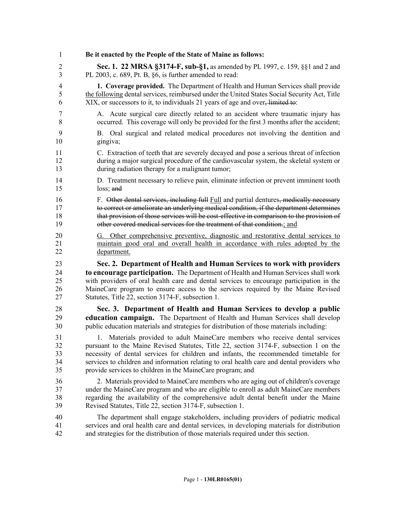| 1              | Be it enacted by the People of the State of Maine as follows:                                  |
|----------------|------------------------------------------------------------------------------------------------|
| $\overline{2}$ | Sec. 1. 22 MRSA §3174-F, sub-§1, as amended by PL 1997, c. 159, §§1 and 2 and                  |
| 3              | PL 2003, c. 689, Pt. B, §6, is further amended to read:                                        |
| $\overline{4}$ | 1. Coverage provided. The Department of Health and Human Services shall provide                |
| 5              | the following dental services, reimbursed under the United States Social Security Act, Title   |
| 6              | XIX, or successors to it, to individuals 21 years of age and over <del>, limited to</del> :    |
| $\overline{7}$ | A. Acute surgical care directly related to an accident where traumatic injury has              |
| 8              | occurred. This coverage will only be provided for the first 3 months after the accident;       |
| 9<br>10        | Oral surgical and related medical procedures not involving the dentition and<br>B.<br>gingiva; |
| 11             | C. Extraction of teeth that are severely decayed and pose a serious threat of infection        |
| 12             | during a major surgical procedure of the cardiovascular system, the skeletal system or         |
| 13             | during radiation therapy for a malignant tumor;                                                |
| 14             | D. Treatment necessary to relieve pain, eliminate infection or prevent imminent tooth          |
| 15             | $loss;$ and                                                                                    |
| 16             | F. Other dental services, including full Full and partial dentures, medically necessary        |
| 17             | to correct or ameliorate an underlying medical condition, if the department determines         |
| 18             | that provision of those services will be cost-effective in comparison to the provision of      |
| 19             | other covered medical services for the treatment of that condition.; and                       |
| 20             | G. Other comprehensive preventive, diagnostic and restorative dental services to               |
| 21             | maintain good oral and overall health in accordance with rules adopted by the                  |
| 22             | department.                                                                                    |
| 23             | Sec. 2. Department of Health and Human Services to work with providers                         |
| 24             | to encourage participation. The Department of Health and Human Services shall work             |
| 25             | with providers of oral health care and dental services to encourage participation in the       |
| 26             | MaineCare program to ensure access to the services required by the Maine Revised               |
| 27             | Statutes, Title 22, section 3174-F, subsection 1.                                              |
| 28             | Sec. 3. Department of Health and Human Services to develop a public                            |
| 29             | education campaign. The Department of Health and Human Services shall develop                  |
| 30             | public education materials and strategies for distribution of those materials including:       |
| 31             | 1. Materials provided to adult MaineCare members who receive dental services                   |
| 32             | pursuant to the Maine Revised Statutes, Title 22, section 3174-F, subsection 1 on the          |
| 33             | necessity of dental services for children and infants, the recommended timetable for           |
| 34             | services to children and information relating to oral health care and dental providers who     |
| 35             | provide services to children in the MaineCare program; and                                     |
| 36             | 2. Materials provided to MaineCare members who are aging out of children's coverage            |
| 37             | under the MaineCare program and who are eligible to enroll as adult MaineCare members          |
| 38             | regarding the availability of the comprehensive adult dental benefit under the Maine           |
| 39             | Revised Statutes, Title 22, section 3174-F, subsection 1.                                      |
| 40             | The department shall engage stakeholders, including providers of pediatric medical             |
| 41             | services and oral health care and dental services, in developing materials for distribution    |
| 42             | and strategies for the distribution of those materials required under this section.            |